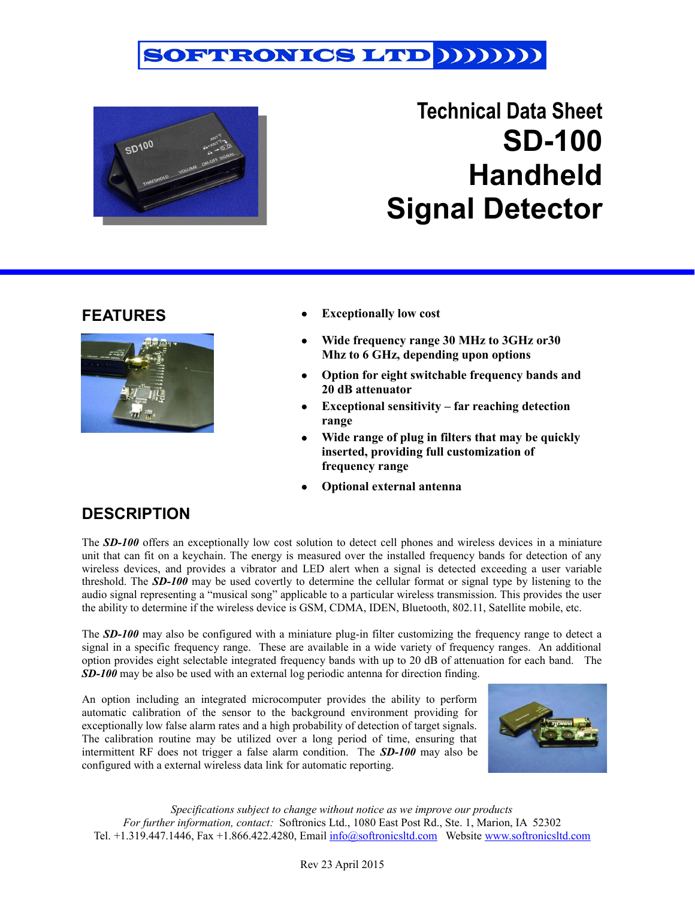



# **Technical Data Sheet SD-100 Handheld Signal Detector**

### **FEATURES**



- **Exceptionally low cost**
- **Wide frequency range 30 MHz to 3GHz or30 Mhz to 6 GHz, depending upon options**
- **Option for eight switchable frequency bands and 20 dB attenuator**
- **Exceptional sensitivity far reaching detection range**
- **Wide range of plug in filters that may be quickly inserted, providing full customization of frequency range**
- **Optional external antenna**

## **DESCRIPTION**

The *SD-100* offers an exceptionally low cost solution to detect cell phones and wireless devices in a miniature unit that can fit on a keychain. The energy is measured over the installed frequency bands for detection of any wireless devices, and provides a vibrator and LED alert when a signal is detected exceeding a user variable threshold. The *SD-100* may be used covertly to determine the cellular format or signal type by listening to the audio signal representing a "musical song" applicable to a particular wireless transmission. This provides the user the ability to determine if the wireless device is GSM, CDMA, IDEN, Bluetooth, 802.11, Satellite mobile, etc.

The *SD-100* may also be configured with a miniature plug-in filter customizing the frequency range to detect a signal in a specific frequency range. These are available in a wide variety of frequency ranges. An additional option provides eight selectable integrated frequency bands with up to 20 dB of attenuation for each band. The *SD-100* may be also be used with an external log periodic antenna for direction finding.

An option including an integrated microcomputer provides the ability to perform automatic calibration of the sensor to the background environment providing for exceptionally low false alarm rates and a high probability of detection of target signals. The calibration routine may be utilized over a long period of time, ensuring that intermittent RF does not trigger a false alarm condition. The *SD-100* may also be configured with a external wireless data link for automatic reporting.



*Specifications subject to change without notice as we improve our products For further information, contact:* Softronics Ltd., 1080 East Post Rd., Ste. 1, Marion, IA 52302 Tel. +1.319.447.1446, Fax +1.866.422.4280, Email  $\frac{info(Q)\cdot_{\text{soft}}}{\text{noise}}$  Website [www.softronicsltd.com](http://www.softronicsltd.com/)